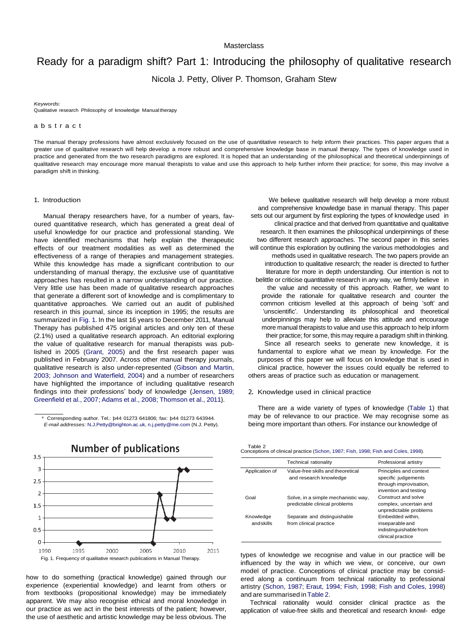# **Masterclass**

# Ready for a paradigm shift? Part 1: Introducing the philosophy of qualitative research Nicola J. Petty, Oliver P. Thomson, Graham Stew

*Keywords:*

Qualitative research Philosophy of knowledge Manual therapy

#### a b s t r a c t

The manual therapy professions have almost exclusively focused on the use of quantitative research to help inform their practices. This paper argues that a greater use of qualitative research will help develop a more robust and comprehensive knowledge base in manual therapy. The types of knowledge used in practice and generated from the two research paradigms are explored. It is hoped that an understanding of the philosophical and theoretical underpinnings of qualitative research may encourage more manual therapists to value and use this approach to help further inform their practice; for some, this may involve a paradigm shift in thinking.

#### 1. Introduction

Manual therapy researchers have, for a number of years, favoured quantitative research, which has generated a great deal of useful knowledge for our practice and professional standing. We have identified mechanisms that help explain the therapeutic effects of our treatment modalities as well as determined the effectiveness of a range of therapies and management strategies. While this knowledge has made a significant contribution to our understanding of manual therapy, the exclusive use of quantitative approaches has resulted in a narrow understanding of our practice. Very little use has been made of qualitative research approaches that generate a different sort of knowledge and is complimentary to quantitative approaches. We carried out an audit of published research in this journal, since its inception in 1995; the results are summarized in [Fig.](#page-0-0) 1. In the last 16 years to December 2011, Manual Therapy has published 475 original articles and only ten of these (2.1%) used a qualitative research approach. An editorial exploring the value of qualitative research for manual therapists was published in 2005 [\(Grant,](#page-6-0) 2005) and the first research paper was published in February 2007. Across other manual therapy journals, qualitative research is also under-represented [\(Gibson](#page-6-1) and Martin, 2003; Johnson and [Waterfield,](#page-6-1) 2004) and a number of researchers have highlighted the importance of including qualitative research findings into their professions' body of knowledge [\(Jensen, 1989;](#page-6-2) [Greenfi](#page-6-2)eld et al., 2007; Adams et al., 2008; [Thomson](#page-6-2) et al., 2011).

\* Corresponding author. Tel.: þ44 01273 641806; fax: þ44 01273 643944. *E-mail addresses:* [N.J.Petty@brighton.ac.uk,](mailto:N.J.Petty@brighton.ac.uk) [n.j.petty@me.com](mailto:n.j.petty@me.com) (N.J. Petty).

<span id="page-0-0"></span>

how to do something (practical knowledge) gained through our experience (experiential knowledge) and learnt from others or from textbooks (propositional knowledge) may be immediately apparent. We may also recognise ethical and moral knowledge in our practice as we act in the best interests of the patient; however, the use of aesthetic and artistic knowledge may be less obvious. The

We believe qualitative research will help develop a more robust and comprehensive knowledge base in manual therapy. This paper sets out our argument by first exploring the types of knowledge used in clinical practice and that derived from quantitative and qualitative research. It then examines the philosophical underpinnings of these two different research approaches. The second paper in this series will continue this exploration by outlining the various methodologies and methods used in qualitative research. The two papers provide an introduction to qualitative research; the reader is directed to further literature for more in depth understanding. Our intention is not to belittle or criticise quantitative research in any way, we firmly believe in the value and necessity of this approach. Rather, we want to provide the rationale for qualitative research and counter the common criticism levelled at this approach of being 'soft' and 'unscientific'. Understanding its philosophical and theoretical underpinnings may help to alleviate this attitude and encourage more manual therapists to value and use this approach to help inform their practice; for some, this may require a paradigm shift in thinking. Since all research seeks to generate new knowledge, it is fundamental to explore what we mean by knowledge. For the purposes of this paper we will focus on knowledge that is used in clinical practice, however the issues could equally be referred to others areas of practice such as education or management.

#### 2. Knowledge used in clinical practice

There are a wide variety of types of knowledge [\(Table](#page-1-0) 1) that may be of relevance to our practice. We may recognise some as being more important than others. For instance our knowledge of

<span id="page-0-1"></span>

| $\overline{a}$                                                                    |  |  |  |
|-----------------------------------------------------------------------------------|--|--|--|
| Conceptions of clinical practice (Schon, 1987; Fish, 1998; Fish and Coles, 1998). |  |  |  |

|                        | Technical rationality                                                | Professional artistry                                                                            |
|------------------------|----------------------------------------------------------------------|--------------------------------------------------------------------------------------------------|
| Application of         | Value-free skills and theoretical<br>and research knowledge          | Principles and context<br>specific judgements<br>through improvisation,<br>invention and testing |
| Goal                   | Solve, in a simple mechanistic way,<br>predictable clinical problems | Construct and solve<br>complex, uncertain and<br>unpredictable problems                          |
| Knowledge<br>andskills | Separate and distinguishable<br>from clinical practice               | Embedded within.<br>inseparable and<br>indistinguishable from<br>clinical practice               |

types of knowledge we recognise and value in our practice will be influenced by the way in which we view, or conceive, our own model of practice. Conceptions of clinical practice may be considered along a continuum from technical rationality to professional artistry [\(Schon,](#page-6-3) 1987; Eraut, 1994; Fish, 1998; Fish and Coles, 1998) and are summarised i[nTable](#page-0-1) 2.

Technical rationality would consider clinical practice as the application of value-free skills and theoretical and research knowl- edge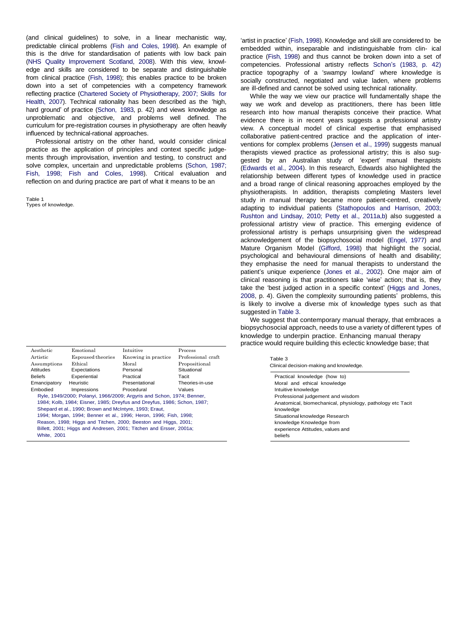(and clinical guidelines) to solve, in a linear mechanistic way, predictable clinical problems (Fish and [Coles,](#page-6-4) 1998). An example of this is the drive for standardisation of patients with low back pain (NHS Quality [Improvement](#page-6-5) Scotland, 2008). With this view, knowledge and skills are considered to be separate and distinguishable from clinical practice (Fish, [1998\)](#page-6-6); this enables practice to be broken down into a set of competencies with a competency framework reflecting practice (Chartered Society of [Physiotherapy,](#page-6-7) 2007; Skills [for](#page-6-7) [Health,](#page-6-7) 2007). Technical rationality has been described as the 'high, hard ground' of practice [\(Schon,](#page-6-8) 1983, p. 42) and views knowledge as unproblematic and objective, and problems well defined. The curriculum for pre-registration courses in physiotherapy are often heavily influenced by technical-rational approaches.

Professional artistry on the other hand, would consider clinical practice as the application of principles and context specific judgements through improvisation, invention and testing, to construct and solve complex, uncertain and unpredictable problems [\(Schon,](#page-6-3) [1987;](#page-6-3) Fish, 1998; Fish and [Coles,](#page-6-3) 1998). Critical evaluation and reflection on and during practice are part of what it means to be an

<span id="page-1-0"></span>Table 1 Types of knowledge.

| Aesthetic                                                               | Emotional         | Intuitive           | Process            |  |  |  |
|-------------------------------------------------------------------------|-------------------|---------------------|--------------------|--|--|--|
| Artistic                                                                | Espoused theories | Knowing in practice | Professional craft |  |  |  |
| Assumptions                                                             | Ethical           | Moral               | Propositional      |  |  |  |
| Attitudes                                                               | Expectations      | Personal            | Situational        |  |  |  |
| <b>Beliefs</b>                                                          | Experiential      | Practical           | Tacit              |  |  |  |
| Emancipatory                                                            | <b>Heuristic</b>  | Presentational      | Theories-in-use    |  |  |  |
| Embodied                                                                | Impressions       | Procedural          | Values             |  |  |  |
| Ryle, 1949/2000; Polanyi, 1966/2009; Argyris and Schon, 1974; Benner,   |                   |                     |                    |  |  |  |
| 1984; Kolb, 1984; Eisner, 1985; Dreyfus and Dreyfus, 1986; Schon, 1987; |                   |                     |                    |  |  |  |
| Shepard et al., 1990; Brown and McIntyre, 1993; Eraut,                  |                   |                     |                    |  |  |  |
| 1994; Morgan, 1994; Benner et al., 1996; Heron, 1996; Fish, 1998;       |                   |                     |                    |  |  |  |
| Reason, 1998; Higgs and Titchen, 2000; Beeston and Higgs, 2001;         |                   |                     |                    |  |  |  |
| Billett, 2001; Higgs and Andresen, 2001; Titchen and Ersser, 2001a;     |                   |                     |                    |  |  |  |
| <b>White, 2001</b>                                                      |                   |                     |                    |  |  |  |

'artist in practice' [\(Fish,](#page-6-6) 1998). Knowledge and skill are considered to be embedded within, inseparable and indistinguishable from clin- ical practice (Fish, [1998\)](#page-6-6) and thus cannot be broken down into a set of competencies. Professional artistry reflects [Schon's](#page-6-8) (1983, p. 42) practice topography of a 'swampy lowland' where knowledge is socially constructed, negotiated and value laden, where problems are ill-defined and cannot be solved using technical rationality.

While the way we view our practice will fundamentally shape the way we work and develop as practitioners, there has been little research into how manual therapists conceive their practice. What evidence there is in recent years suggests a professional artistry view. A conceptual model of clinical expertise that emphasised collaborative patient-centred practice and the application of interventions for complex problems [\(Jensen](#page-6-9) et al., 1999) suggests manual therapists viewed practice as professional artistry; this is also suggested by an Australian study of 'expert' manual therapists [\(Edwards](#page-6-10) et al., 2004). In this research, Edwards also highlighted the relationship between different types of knowledge used in practice and a broad range of clinical reasoning approaches employed by the physiotherapists. In addition, therapists completing Masters level study in manual therapy became more patient-centred, creatively adapting to individual patients [\(Stathopoulos](#page-6-11) and Harrison, 2003; [Rushton](#page-6-11) and Lindsay, 2010; Petty et al., 2011a,b) also suggested a professional artistry view of practice. This emerging evidence of professional artistry is perhaps unsurprising given the widespread acknowledgement of the biopsychosocial model [\(Engel,](#page-6-12) 1977) and Mature Organism Model [\(Gifford,](#page-6-13) 1998) that highlight the social, psychological and behavioural dimensions of health and disability; they emphasise the need for manual therapists to understand the patient's unique experience [\(Jones](#page-6-14) et al., 2002). One major aim of clinical reasoning is that practitioners take 'wise' action; that is, they take the 'best judged action in a specific context' [\(Higgs](#page-6-15) and [Jones,](#page-6-15) [2008,](#page-6-15) p. 4). Given the complexity surrounding patients' problems, this is likely to involve a diverse mix of knowledge types such as that suggested in [Table](#page-1-1) 3.

We suggest that contemporary manual therapy, that embraces a biopsychosocial approach, needs to use a variety of different types of knowledge to underpin practice. Enhancing manual therapy practice would require building this eclectic knowledge base; that

<span id="page-1-1"></span>Table 3

| Clinical decision-making and knowledge.                    |
|------------------------------------------------------------|
| Practical knowledge (how to)                               |
| Moral and ethical knowledge                                |
| Intuitive knowledge                                        |
| Professional judgement and wisdom                          |
| Anatomical, biomechanical, physiology, pathology etc Tacit |
| knowledge                                                  |
| Situational knowledge Research                             |
| knowledge Knowledge from                                   |
| experience Attitudes, values and                           |
| beliefs                                                    |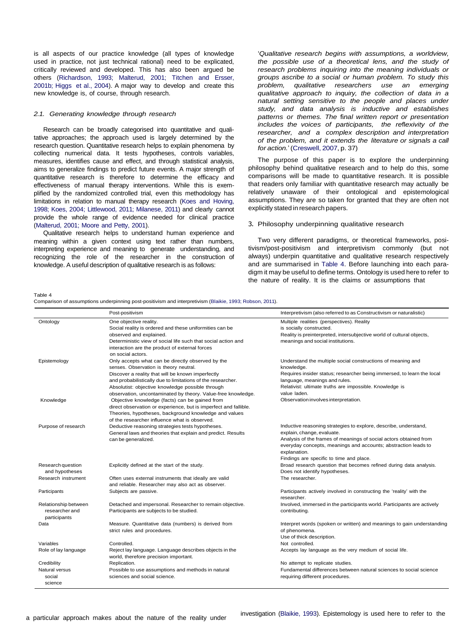is all aspects of our practice knowledge (all types of knowledge used in practice, not just technical rational) need to be explicated, critically reviewed and developed. This has also been argued be others [\(Richardson,](#page-6-17) 1993; Malterud, 2001; Titchen and Ersser, 2001b; Higgs et [al., 2004\)](#page-6-17). A major way to develop and create this new knowledge is, of course, through research.

### *2.1. Generating knowledge through research*

Research can be broadly categorised into quantitative and qualitative approaches; the approach used is largely determined by the research question. Quantitative research helps to explain phenomena by collecting numerical data. It tests hypotheses, controls variables, measures, identifies cause and effect, and through statistical analysis, aims to generalize findings to predict future events. A major strength of quantitative research is therefore to determine the efficacy and effectiveness of manual therapy interventions. While this is exemplified by the randomized controlled trial, even this methodology has limitations in relation to manual therapy research (Koes and [Hoving,](#page-6-18) 1998; Koes, 2004; [Littlewood,](#page-6-18) 2011; Milanese, 2011) and clearly cannot provide the whole range of evidence needed for clinical practice [\(Malterud,](#page-6-19) 2001; Moore and Petty, 2001).

Qualitative research helps to understand human experience and meaning within a given context using text rather than numbers, interpreting experience and meaning to generate understanding, and recognizing the role of the researcher in the construction of knowledge. A useful description of qualitative research is as follows:

'*Qualitative research begins with assumptions, a worldview, the possible use of a theoretical lens, and the study of research problems inquiring into the meaning individuals or groups ascribe to a social or human problem. To study this problem, qualitative researchers use an emerging qualitative approach to inquiry, the collection of data in a natural setting sensitive to the people and places under study, and data analysis is inductive and establishes patterns or themes. The* fi*nal written report or presentation includes the voices of participants, the re*fl*exivity of the researcher, and a complex description and interpretation of the problem, and it extends the literature or signals a call for action.*'[\(Creswell,](#page-6-20) 2007, p. 37)

The purpose of this paper is to explore the underpinning philosophy behind qualitative research and to help do this, some comparisons will be made to quantitative research. It is possible that readers only familiar with quantitative research may actually be relatively unaware of their ontological and epistemological assumptions. They are so taken for granted that they are often not explicitly stated in research papers.

## 3. Philosophy underpinning qualitative research

Two very different paradigms, or theoretical frameworks, positivism/post-positivism and interpretivism commonly (but not always) underpin quantitative and qualitative research respectively and are summarised in [Table](#page-2-0) 4. Before launching into each paradigm it may be useful to define terms. Ontology is used here to refer to the nature of reality. It is the claims or assumptions that

<span id="page-2-0"></span>Table 4

|  | Comparison of assumptions underpinning post-positivism and interpretivism (Blaikie, 1993; Robson, 2011). |  |  |
|--|----------------------------------------------------------------------------------------------------------|--|--|
|--|----------------------------------------------------------------------------------------------------------|--|--|

|                      | Post-positivism                                                  | Interpretivism (also referred to as Constructivism or naturalistic)                                            |
|----------------------|------------------------------------------------------------------|----------------------------------------------------------------------------------------------------------------|
| Ontology             | One objective reality.                                           | Multiple realities (perspectives). Reality                                                                     |
|                      | Social reality is ordered and these uniformities can be          | is socially constructed.                                                                                       |
|                      | observed and explained.                                          | Reality is preinterpreted, intersubjective world of cultural objects,                                          |
|                      | Deterministic view of social life such that social action and    | meanings and social institutions.                                                                              |
|                      | interaction are the product of external forces                   |                                                                                                                |
|                      | on social actors.                                                |                                                                                                                |
| Epistemology         | Only accepts what can be directly observed by the                | Understand the multiple social constructions of meaning and                                                    |
|                      | senses. Observation is theory neutral.                           | knowledge.                                                                                                     |
|                      | Discover a reality that will be known imperfectly                | Requires insider status; researcher being immersed, to learn the local                                         |
|                      | and probabilistically due to limitations of the researcher.      | language, meanings and rules.                                                                                  |
|                      | Absolutist: objective knowledge possible through                 | Relativist: ultimate truths are impossible. Knowledge is                                                       |
|                      | observation, uncontaminated by theory. Value-free knowledge.     | value laden.                                                                                                   |
| Knowledge            | Objective knowledge (facts) can be gained from                   | Observation involves interpretation.                                                                           |
|                      | direct observation or experience, but is imperfect and fallible. |                                                                                                                |
|                      | Theories, hypotheses, background knowledge and values            |                                                                                                                |
|                      | of the researcher influence what is observed.                    |                                                                                                                |
| Purpose of research  | Deductive reasoning strategies tests hypotheses.                 | Inductive reasoning strategies to explore, describe, understand,                                               |
|                      | General laws and theories that explain and predict. Results      | explain, change, evaluate.                                                                                     |
|                      | can be generalized.                                              | Analysis of the frames of meanings of social actors obtained from                                              |
|                      |                                                                  | everyday concepts, meanings and accounts; abstraction leads to                                                 |
|                      |                                                                  | explanation.                                                                                                   |
| Research question    |                                                                  | Findings are specific to time and place.<br>Broad research question that becomes refined during data analysis. |
| and hypotheses       | Explicitly defined at the start of the study.                    | Does not identify hypotheses.                                                                                  |
| Research instrument  | Often uses external instruments that ideally are valid           | The researcher.                                                                                                |
|                      | and reliable. Researcher may also act as observer.               |                                                                                                                |
| Participants         | Subjects are passive.                                            | Participants actively involved in constructing the 'reality' with the                                          |
|                      |                                                                  | researcher.                                                                                                    |
| Relationship between | Detached and impersonal. Researcher to remain objective.         | Involved, immersed in the participants world. Participants are actively                                        |
| researcher and       | Participants are subjects to be studied.                         | contributing.                                                                                                  |
| participants         |                                                                  |                                                                                                                |
| Data                 | Measure. Quantitative data (numbers) is derived from             | Interpret words (spoken or written) and meanings to gain understanding                                         |
|                      | strict rules and procedures.                                     | of phenomena.                                                                                                  |
|                      |                                                                  | Use of thick description.                                                                                      |
| Variables            | Controlled.                                                      | Not controlled.                                                                                                |
| Role of lay language | Reject lay language. Language describes objects in the           | Accepts lay language as the very medium of social life.                                                        |
|                      | world, therefore precision important.                            |                                                                                                                |
| Credibility          | Replication.                                                     | No attempt to replicate studies.                                                                               |
| Natural versus       | Possible to use assumptions and methods in natural               | Fundamental differences between natural sciences to social science                                             |
| social               | sciences and social science.                                     | requiring different procedures.                                                                                |
| science              |                                                                  |                                                                                                                |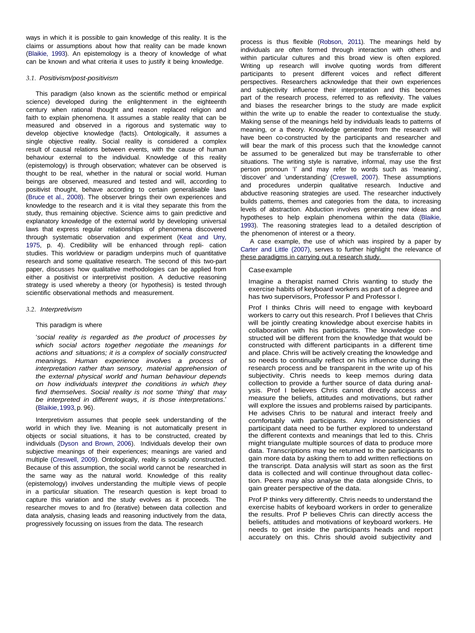ways in which it is possible to gain knowledge of this reality. It is the claims or assumptions about how that reality can be made known [\(Blaikie,](#page-6-21) 1993). An epistemology is a theory of knowledge of what can be known and what criteria it uses to justify it being knowledge.

## *3.1. Positivism/post-positivism*

This paradigm (also known as the scientific method or empirical science) developed during the enlightenment in the eighteenth century when rational thought and reason replaced religion and faith to explain phenomena. It assumes a stable reality that can be measured and observed in a rigorous and systematic way to develop objective knowledge (facts). Ontologically, it assumes a single objective reality. Social reality is considered a complex result of causal relations between events, with the cause of human behaviour external to the individual. Knowledge of this reality (epistemology) is through observation; whatever can be observed is thought to be real, whether in the natural or social world. Human beings are observed, measured and tested and will, according to positivist thought, behave according to certain generalisable laws [\(Bruce](#page-6-22) et al., 2008). The observer brings their own experiences and knowledge to the research and it is vital they separate this from the study, thus remaining objective. Science aims to gain predictive and explanatory knowledge of the external world by developing universal laws that express regular relationships of phenomena discovered through systematic observation and experiment [\(Keat](#page-6-23) and [Urry,](#page-6-23) [1975,](#page-6-23) p. 4). Credibility will be enhanced through repli- cation studies. This worldview or paradigm underpins much of quantitative research and some qualitative research. The second of this two-part paper, discusses how qualitative methodologies can be applied from either a positivist or interpretivist position. A deductive reasoning strategy is used whereby a theory (or hypothesis) is tested through scientific observational methods and measurement.

# *3.2. Interpretivism*

### This paradigm is where

'*social reality is regarded as the product of processes by which social actors together negotiate the meanings for actions and situations; it is a complex of socially constructed meanings. Human experience involves a process of interpretation rather than sensory, material apprehension of the external physical world and human behaviour depends on how individuals interpret the conditions in which they* fi*nd themselves. Social reality is not some* '*thing*' *that may be interpreted in different ways, it is those interpretations*.' [\(Blaikie,1993,](#page-6-21) p. 96).

Interpretivism assumes that people seek understanding of the world in which they live. Meaning is not automatically present in objects or social situations, it has to be constructed, created by individuals [\(Dyson](#page-6-24) and Brown, 2006). Individuals develop their own subjective meanings of their experiences; meanings are varied and multiple [\(Creswell,](#page-6-25) 2009). Ontologically, reality is socially constructed. Because of this assumption, the social world cannot be researched in the same way as the natural world. Knowledge of this reality (epistemology) involves understanding the multiple views of people in a particular situation. The research question is kept broad to capture this variation and the study evolves as it proceeds. The researcher moves to and fro (iterative) between data collection and data analysis, chasing leads and reasoning inductively from the data, progressively focussing on issues from the data. The research

process is thus flexible [\(Robson,](#page-6-26) 2011). The meanings held by individuals are often formed through interaction with others and within particular cultures and this broad view is often explored. Writing up research will involve quoting words from different participants to present different voices and reflect different perspectives. Researchers acknowledge that their own experiences and subjectivity influence their interpretation and this becomes part of the research process, referred to as reflexivity. The values and biases the researcher brings to the study are made explicit within the write up to enable the reader to contextualise the study. Making sense of the meanings held by individuals leads to patterns of meaning, or a theory. Knowledge generated from the research will have been co-constructed by the participants and researcher and will bear the mark of this process such that the knowledge cannot be assumed to be generalized but may be transferrable to other situations. The writing style is narrative, informal, may use the first person pronoun 'I' and may refer to words such as 'meaning', 'discover' and 'understanding' [\(Creswell,](#page-6-20) 2007). These assumptions and procedures underpin qualitative research. Inductive and abductive reasoning strategies are used. The researcher inductively builds patterns, themes and categories from the data, to increasing levels of abstraction. Abduction involves generating new ideas and hypotheses to help explain phenomena within the data [\(Blaikie,](#page-6-21) [1993\).](#page-6-21) The reasoning strategies lead to a detailed description of the phenomenon of interest or a theory.

A case example, the use of which was inspired by a paper by Carter and Little [\(2007\),](#page-6-27) serves to further highlight the relevance of these paradigms in carrying out a research study.

# Caseexample

Imagine a therapist named Chris wanting to study the exercise habits of keyboard workers as part of a degree and has two supervisors, Professor P and Professor I.

Prof I thinks Chris will need to engage with keyboard workers to carry out this research. Prof I believes that Chris will be jointly creating knowledge about exercise habits in collaboration with his participants. The knowledge constructed will be different from the knowledge that would be constructed with different participants in a different time and place. Chris will be actively creating the knowledge and so needs to continually reflect on his influence during the research process and be transparent in the write up of his subjectivity. Chris needs to keep memos during data collection to provide a further source of data during analysis. Prof I believes Chris cannot directly access and measure the beliefs, attitudes and motivations, but rather will explore the issues and problems raised by participants. He advises Chris to be natural and interact freely and comfortably with participants. Any inconsistencies of participant data need to be further explored to understand the different contexts and meanings that led to this. Chris might triangulate multiple sources of data to produce more data. Transcriptions may be returned to the participants to gain more data by asking them to add written reflections on the transcript. Data analysis will start as soon as the first data is collected and will continue throughout data collection. Peers may also analyse the data alongside Chris, to gain greater perspective of the data.

Prof P thinks very differently. Chris needs to understand the exercise habits of keyboard workers in order to generalize the results. Prof P believes Chris can directly access the beliefs, attitudes and motivations of keyboard workers. He needs to get inside the participants heads and report accurately on this. Chris should avoid subjectivity and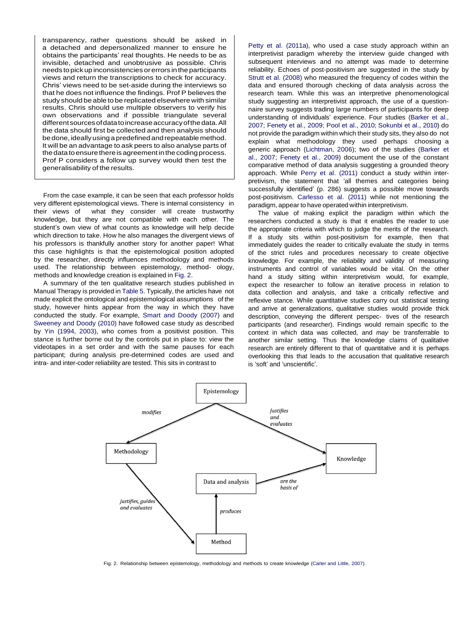transparency, rather questions should be asked in a detached and depersonalized manner to ensure he obtains the participants' real thoughts. He needs to be as invisible, detached and unobtrusive as possible. Chris needs topickupinconsistenciesorerrors intheparticipants views and return the transcriptions to check for accuracy. Chris' views need to be set-aside during the interviews so that he does not influence the findings. Prof P believes the study should be able to be replicated elsewhere with similar results. Chris should use multiple observers to verify his own observations and if possible triangulate several differentsourcesofdatatoincreaseaccuracyofthedata.All the data should first be collected and then analysis should bedone,ideallyusingapredefined andrepeatablemethod. It will be an advantage to ask peers to also analyse parts of the data to ensure there is agreement in the coding process. Prof P considers a follow up survey would then test the generalisability of the results.

From the case example, it can be seen that each professor holds very different epistemological views. There is internal consistency in their views of what they consider will create trustworthy knowledge, but they are not compatible with each other. The student's own view of what counts as knowledge will help decide which direction to take. How he also manages the divergent views of his professors is thankfully another story for another paper! What this case highlights is that the epistemological position adopted by the researcher, directly influences methodology and methods used. The relationship between epistemology, method- ology, methods and knowledge creation is explained in [Fig.](#page-4-0) 2.

A summary of the ten qualitative research studies published in Manual Therapy is provided in [Table](#page-5-0) 5. Typically, the articles have not made explicit the ontological and epistemological assumptions of the study, however hints appear from the way in which they have conducted the study. For example, Smart and [Doody](#page-6-28) (2007) and [Sweeney](#page-6-29) and Doody (2010) have followed case study as described by Yin (1994, [2003\),](#page-7-0) who comes from a positivist position. This stance is further borne out by the controls put in place to: view the videotapes in a set order and with the same pauses for each participant; during analysis pre-determined codes are used and intra- and inter-coder reliability are tested. This sits in contrast to

Petty et al. [\(2011a\),](#page-6-30) who used a case study approach within an interpretivist paradigm whereby the interview guide changed with subsequent interviews and no attempt was made to determine reliability. Echoes of post-positivism are suggested in the study by Strutt et al. [\(2008\)](#page-6-31) who measured the frequency of codes within the data and ensured thorough checking of data analysis across the research team. While this was an interpretive phenomenological study suggesting an interpretivist approach, the use of a questionnaire survey suggests trading large numbers of participants for deep understanding of individuals' experience. Four studies [\(Barker](#page-6-32) et al., 2007; Fenety et al., 2009; Pool et al., 2010; [Sokunbi](#page-6-32) et al., 2010) do not provide the paradigm within which their study sits, they also do not explain what methodology they used perhaps choosing a generic approach [\(Lichtman,](#page-6-33) 2006); two of the studies [\(Barker](#page-6-32) [et](#page-6-32) al., 2007; [Fenety](#page-6-32) et al., 2009) document the use of the constant comparative method of data analysis suggesting a grounded theory approach. While Perry et al. [\(2011\)](#page-6-34) conduct a study within interpretivism, the statement that 'all themes and categories being successfully identified' (p. 286) suggests a possible move towards post-positivism. [Carlesso](#page-6-35) et al. (2011) while not mentioning the paradigm, appear to have operated within interpretivism.

The value of making explicit the paradigm within which the researchers conducted a study is that it enables the reader to use the appropriate criteria with which to judge the merits of the research. If a study sits within post-positivism for example, then that immediately guides the reader to critically evaluate the study in terms of the strict rules and procedures necessary to create objective knowledge. For example, the reliability and validity of measuring instruments and control of variables would be vital. On the other hand a study sitting within interpretivism would, for example, expect the researcher to follow an iterative process in relation to data collection and analysis, and take a critically reflective and reflexive stance. While quantitative studies carry out statistical testing and arrive at generalizations, qualitative studies would provide thick description, conveying the different perspec- tives of the research participants (and researcher). Findings would remain specific to the context in which data was collected, and *may* be transferrable to another similar setting. Thus the knowledge claims of qualitative research are entirely different to that of quantitative and it is perhaps overlooking this that leads to the accusation that qualitative research is 'soft' and 'unscientific'.

<span id="page-4-0"></span>

Fig. 2. Relationship between epistemology, methodology and methods to create knowledge [\(Carter](#page-6-27) and Little, 2007).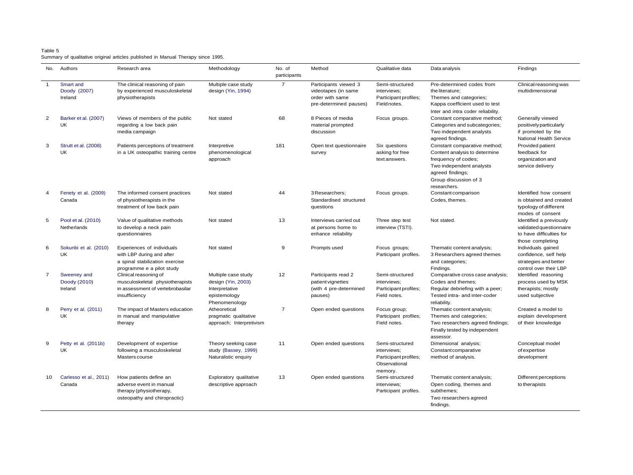#### Table 5

Summary of qualitative original articles published in Manual Therapy since 1995.

<span id="page-5-0"></span>

| No.            | Authors                                | Research area                                                                                                           | Methodology                                                                                  | No. of<br>participants | Method                                                                                    | Qualitative data                                                                    | Data analysis                                                                                                                                                                 | Findings                                                                                           |
|----------------|----------------------------------------|-------------------------------------------------------------------------------------------------------------------------|----------------------------------------------------------------------------------------------|------------------------|-------------------------------------------------------------------------------------------|-------------------------------------------------------------------------------------|-------------------------------------------------------------------------------------------------------------------------------------------------------------------------------|----------------------------------------------------------------------------------------------------|
| $\overline{1}$ | Smart and<br>Doody (2007)<br>Ireland   | The clinical reasoning of pain<br>by experienced musculoskeletal<br>physiotherapists                                    | Multiple case study<br>design (Yin, 1994)                                                    | $\overline{7}$         | Participants viewed 3<br>videotapes (in same<br>order with same<br>pre-determined pauses) | Semi-structured<br>interviews;<br>Participant profiles;<br>Field notes.             | Pre-determined codes from<br>the literature;<br>Themes and categories;<br>Kappa coefficient used to test<br>Inter and intra coder reliability.                                | Clinical reasoning was<br>multidimensional                                                         |
| $\overline{2}$ | Barker et al. (2007)<br>UK             | Views of members of the public<br>regarding a low back pain<br>media campaign                                           | Not stated                                                                                   | 68                     | 8 Pieces of media<br>material prompted<br>discussion                                      | Focus groups.                                                                       | Constant comparative method;<br>Categories and subcategories;<br>Two independent analysts<br>agreed findings.                                                                 | Generally viewed<br>positively particularly<br>if promoted by the<br>National Health Service       |
| 3              | Strutt et al. (2008)<br><b>UK</b>      | Patients perceptions of treatment<br>in a UK osteopathic training centre                                                | Interpretive<br>phenomenological<br>approach                                                 | 181                    | Open text questionnaire<br>survey                                                         | Six questions<br>asking for free<br>text answers.                                   | Constant comparative method;<br>Content analysis to determine<br>frequency of codes;<br>Two independent analysts<br>agreed findings;<br>Group discussion of 3<br>researchers. | Provided patient<br>feedback for<br>organization and<br>service delivery                           |
| $\overline{4}$ | Fenety et al. (2009)<br>Canada         | The informed consent practices<br>of physiotherapists in the<br>treatment of low back pain                              | Not stated                                                                                   | 44                     | 3 Researchers:<br>Standardised structured<br>questions                                    | Focus groups.                                                                       | Constant comparison<br>Codes, themes.                                                                                                                                         | Identified how consent<br>is obtained and created<br>typology of different<br>modes of consent     |
| 5              | Pool et al. (2010)<br>Netherlands      | Value of qualitative methods<br>to develop a neck pain<br>questionnaires                                                | Not stated                                                                                   | 13                     | Interviews carried out<br>at persons home to<br>enhance reliability                       | Three step test<br>interview (TSTI).                                                | Not stated.                                                                                                                                                                   | Identified a previously<br>validated questionnaire<br>to have difficulties for<br>those completing |
| 6              | Sokunbi et al. (2010)<br>UK            | Experiences of individuals<br>with LBP during and after<br>a spinal stabilization exercise<br>programme e a pilot study | Not stated                                                                                   | 9                      | Prompts used                                                                              | Focus groups;<br>Participant profiles.                                              | Thematic content analysis;<br>3 Researchers agreed themes<br>and categories;<br>Findings.                                                                                     | Individuals gained<br>confidence, self help<br>strategies and better<br>control over their LBP     |
| 7              | Sweeney and<br>Doody (2010)<br>Ireland | Clinical reasoning of<br>musculoskeletal physiotherapists<br>in assessment of vertebrobasilar<br>insufficiency          | Multiple case study<br>design (Yin, 2003)<br>Interpretative<br>epistemology<br>Phenomenology | 12                     | Participants read 2<br>patient vignettes<br>(with 4 pre-determined<br>pauses)             | Semi-structured<br>interviews;<br>Participant profiles;<br>Field notes.             | Comparative cross case analysis;<br>Codes and themes:<br>Regular debriefing with a peer;<br>Tested intra- and inter-coder<br>reliability.                                     | Identified reasoning<br>process used by MSK<br>therapists; mostly<br>used subjective               |
| 8              | Perry et al. (2011)<br><b>UK</b>       | The impact of Masters education<br>in manual and manipulative<br>therapy                                                | Atheoretical<br>pragmatic qualitative<br>approach; Interpretivism                            | $\overline{7}$         | Open ended questions                                                                      | Focus group;<br>Participant profiles;<br>Field notes.                               | Thematic content analysis;<br>Themes and categories;<br>Two researchers agreed findings;<br>Finally tested by independent<br>assessor.                                        | Created a model to<br>explain development<br>of their knowledge                                    |
| 9              | Petty et al. (2011b)<br><b>UK</b>      | Development of expertise<br>following a musculoskeletal<br>Masters course                                               | Theory seeking case<br>study (Bassey, 1999)<br>Naturalistic enquiry                          | 11                     | Open ended questions                                                                      | Semi-structured<br>interviews:<br>Participant profiles;<br>Observational<br>memory. | Dimensional analysis;<br>Constant comparative<br>method of analysis.                                                                                                          | Conceptual model<br>ofexpertise<br>development                                                     |
| 10             | Carlesso et al., 2011)<br>Canada       | How patients define an<br>adverse event in manual<br>therapy (physiotherapy,<br>osteopathy and chiropractic)            | Exploratory qualitative<br>descriptive approach                                              | 13                     | Open ended questions                                                                      | Semi-structured<br>interviews:<br>Participant profiles.                             | Thematic content analysis;<br>Open coding, themes and<br>subthemes;<br>Two researchers agreed<br>findings.                                                                    | Different perceptions<br>to therapists                                                             |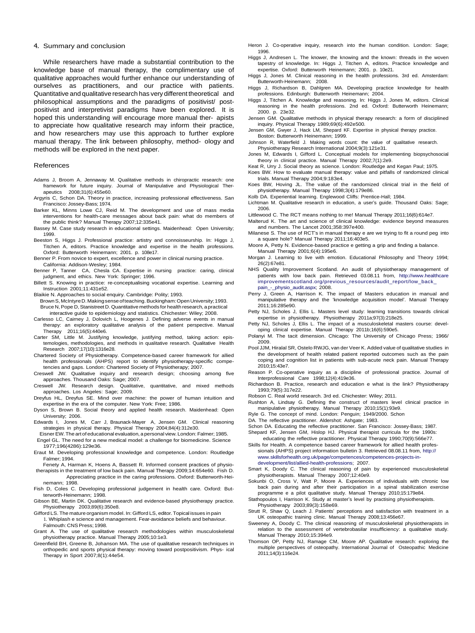#### <span id="page-6-37"></span>4. Summary and conclusion

<span id="page-6-45"></span>While researchers have made a substantial contribution to the knowledge base of manual therapy, the complimentary use of qualitative approaches would further enhance our understanding of ourselves as practitioners, and our practice with patients. Quantitative and qualitative research has very different theoretical and philosophical assumptions and the paradigms of positivist/ postpositivist and interpretivist paradigms have been explored. It is hoped this understanding will encourage more manual ther- apists to appreciate how qualitative research may inform their practice, and how researchers may use this approach to further explore manual therapy. The link between philosophy, method- ology and methods will be explored in the next paper.

#### <span id="page-6-46"></span>References

- Adams J, Broom A, Jennaway M. Qualitative methods in chiropractic research: one framework for future inquiry. Journal of Manipulative and Physiological Therapeutics 2008;31(6):455e60.
- Argyris C, Schon DA. Theory in practice, increasing professional effectiveness. San Francisco: Jossey-Bass; 1974.
- <span id="page-6-32"></span>Barker KL, Minns Lowe CJ, Reid M. The development and use of mass media interventions for health-care messages about back pain: what do members of the public think? Manual Therapy 2007;12:335e41.
- Bassey M. Case study research in educational settings. Maidenhead: Open University; 1999.
- Beeston S, Higgs J. Professional practice: artistry and connoisseurship. In: Higgs J, Titchen A, editors. Practice knowledge and expertise in the health professions. Oxford: Butterworth Heinemann; 2001. p. 108e17.
- Benner P. From novice to expert, excellence and power in clinical nursing practice. California: Addison-Wesley; 1984.
- Benner P, Tanner CA, Chesla CA. Expertise in nursing practice: caring, clinical judgment, and ethics. New York: Springer; 1996.
- Billett S. Knowing in practice: re-conceptualising vocational expertise. Learning and Instruction 2001;11:431e52.
- <span id="page-6-21"></span>Blaikie N. Approaches to social enquiry. Cambridge: Polity; 1993.
- <span id="page-6-39"></span><span id="page-6-22"></span>Brown S, McIntyre D. Making sense of teaching. Buckingham: Open University; 1993. Bruce N, Pope D, Stanistreet D. Quantitative methods for health research, a practical interactive guide to epidemiology and statistics. Chichester: Wiley; 2008.
- <span id="page-6-35"></span>Carlesso LC, Cairney J, Dolovich L, Hoogenes J. Defining adverse events in manual therapy: an exploratory qualitative analysis of the patient perspective. Manual Therapy 2011;16(5):440e6.
- <span id="page-6-27"></span>Carter SM, Little M. Justifying knowledge, justifying method, taking action: epistemologies, methodologies, and methods in qualitative research. Qualitative Health Research 2007;17(10):1316e28.
- <span id="page-6-7"></span>Chartered Society of Physiotherapy. Competence-based career framework for allied health professionals (AHPS) report to identify physiotherapy-specific competencies and gaps. London: Chartered Society of Physiotherapy; 2007.
- <span id="page-6-20"></span>Creswell JW. Qualitative inquiry and research design; choosing among five approaches. Thousand Oaks: Sage; 2007.
- <span id="page-6-25"></span>Creswell JW. Research design. Qualitative, quantitative, and mixed methods approaches. Los Angeles: Sage; 2009.
- Dreyfus HL, Dreyfus SE. Mind over machine: the power of human intuition and expertise in the era of the computer. New York: Free; 1986.
- <span id="page-6-24"></span>Dyson S, Brown B. Social theory and applied health research. Maidenhead: Open University; 2006.
- <span id="page-6-10"></span>Edwards I, Jones M, Carr J, Braunack-Mayer A, Jensen GM. Clinical reasoning strategies in physical therapy. Physical Therapy 2004;84(4):312e30.
- <span id="page-6-12"></span>Eisner EW.The art of educational evaluation, a personal view. London: Falmer; 1985. Engel GL. The need for a new medical model: a challenge for biomedicine. Science 1977;196(4286):129e36.
- Eraut M. Developing professional knowledge and competence. London: Routledge Falmer; 1994.

<span id="page-6-6"></span>Fenety A, Harman K, Hoens A, Bassett R. Informed consent practices of physiotherapists in the treatment of low back pain. Manual Therapy 2009;14:654e60. Fish D. Appreciating practice in the caring professions. Oxford: Butterworth-Heinemann; 1998.

<span id="page-6-4"></span>Fish D, Coles C. Developing professional judgement in health care. Oxford: Butterworth-Heinemann; 1998.

<span id="page-6-1"></span>Gibson BE, Martin DK. Qualitative research and evidence-based physiotherapy practice. Physiotherapy 2003;89(6):350e8.

- <span id="page-6-13"></span>Gifford LS. The mature organism model. In: Gifford LS, editor. Topical issues in pain 1. Whiplash e science and management. Fear-avoidance beliefs and behaviour. Falmouth: CNS Press; 1998.
- <span id="page-6-0"></span>Grant A. The use of qualitative research methodologies within musculoskeletal physiotherapy practice. Manual Therapy 2005;10:1e3.
- Greenfield BH, Greene B, Johanson MA. The use of qualitative research techniques in orthopedic and sports physical therapy: moving toward postpositivism. Phys- ical Therapy in Sport 2007;8(1):44e54.
- Heron J. Co-operative inquiry, research into the human condition. London: Sage; 1996.
- Higgs J, Andresen L. The knower, the knowing and the known: threads in the woven tapestry of knowledge. In: Higgs J, Titchen A, editors. Practice knowledge and expertise. Oxford: Butterworth Heinemann; 2001. p. 10e21.
- <span id="page-6-15"></span>Higgs J, Jones M. Clinical reasoning in the health professions. 3rd ed. Amsterdam: Butterworth-Heinemann; 2008.
- Higgs J, Richardson B, Dahlgren MA. Developing practice knowledge for health professions. Edinburgh: Butterworth Heinemann; 2004.
- Higgs J, Titchen A. Knowledge and reasoning. In: Higgs J, Jones M, editors. Clinical reasoning in the health professions. 2nd ed. Oxford: Butterworth Heinemann; 2000. p. 23e32.
- <span id="page-6-2"></span>Jensen GM. Qualitative methods in physical therapy research: a form of disciplined inquiry. Physical Therapy 1989;69(6):492e500.
- <span id="page-6-9"></span>Jensen GM, Gwyer J, Hack LM, Shepard KF. Expertise in physical therapy practice. Boston: Butterworth Heinemann; 1999.
- <span id="page-6-43"></span>Johnson R, Waterfield J. Making words count: the value of qualitative research. Physiotherapy Research International 2004;9(3):121e31.
- <span id="page-6-14"></span>Jones M, Edwards I, Gifford L. Conceptual models for implementing biopsychosocial theory in clinical practice. Manual Therapy 2002;7(1):2e9.
- <span id="page-6-44"></span><span id="page-6-23"></span>Keat R, Urry J. Social theory as science. London: Routledge and Kegan Paul; 1975.
- Koes BW. How to evaluate manual therapy: value and pitfalls of randomized clinical trials. Manual Therapy 2004;9:183e4.
- <span id="page-6-18"></span>Koes BW, Hoving JL. The value of the randomized clinical trial in the field of physiotherapy. Manual Therapy 1998;3(4):179e86.
- <span id="page-6-40"></span><span id="page-6-33"></span>Kolb DA. Experiential learning. Englewood Cliffs: Prentice-Hall; 1984. Lichtman M. Qualitative research in education, a user's guide. Thousand Oaks: Sage;
- 2006.
- <span id="page-6-19"></span>Littlewood C. The RCT means nothing to me! Manual Therapy 2011;16(6):614e7.
- Malterud K. The art and science of clinical knowledge: evidence beyond measures and numbers. The Lancet 2001;358:397e400.
- Milanese S. The use of RCT's in manual therapy e are we trying to fit a round peg into a square hole? Manual Therapy 2011;16:403e5.
- Moore A, Petty N. Evidence-based practice e getting a grip and finding a balance. Manual Therapy 2001;6(4):195e6.
- Morgan J. Learning to live with emotion. Educational Philosophy and Theory 1994; 26(2):67e81.
- <span id="page-6-5"></span>NHS Quality Improvement Scotland. An audit of physiotherapy management of patients with low back pain. Retrieved 03.08.11 from, [http://www.healthcare](http://www.healthcareimprovementscotland.org/previous_resources/audit_report/low_back_pain_-_physio_audit.aspx) [improvementscotland.org/previous\\_resources/audit\\_report/low\\_back\\_](http://www.healthcareimprovementscotland.org/previous_resources/audit_report/low_back_pain_-_physio_audit.aspx) pain - physio\_audit.aspx: 2008.
- <span id="page-6-34"></span>Perry J, Green A, Harrison K. The impact of Masters education in manual and manipulative therapy and the 'knowledge acquisition model'. Manual Therapy 2011;16:285e90.
- <span id="page-6-36"></span><span id="page-6-30"></span>Petty NJ, Scholes J, Ellis L. Masters level study: learning transitions towards clinical expertise in physiotherapy. Physiotherapy 2011a;97(3):218e25. Petty NJ, Scholes J, Ellis L. The impact of a musculoskeletal masters course: devel-
- <span id="page-6-41"></span>oping clinical expertise. Manual Therapy 2011b;16(6):590e5.
- Polanyi M. The tacit dimension. Chicago: The University of Chicago Press; 1966/ 2009.
- <span id="page-6-38"></span>Pool JJM, Hiralal SR, Ostelo RWJG, van der Veer K. Added value of qualitative studies in the development of health related patient reported outcomes such as the pain coping and cognition list in patients with sub-acute neck pain. Manual Therapy 2010;15:43e7.
- <span id="page-6-42"></span>Reason P. Co-operative inquiry as a discipline of professional practice. Journal of Interprofessional Care 1998;12(4):419e36.
- <span id="page-6-17"></span>Richardson B. Practice, research and education e what is the link? Physiotherapy 1993;79(5):317e22.
- <span id="page-6-26"></span>Robson C. Real world research. 3rd ed. Chichester: Wiley; 2011.
- Rushton A, Lindsay G. Defining the construct of masters level clinical practice in manipulative physiotherapy. Manual Therapy 2010;15(1):93e9.
- <span id="page-6-16"></span><span id="page-6-8"></span>Ryle G. The concept of mind. London: Penguin; 1949/2000. Schon
- DA. The reflective practitioner. Aldershot: Ashgate; 1983.
- Schon DA. Educating the reflective practitioner. San Francisco: Jossey-Bass; 1987. Shepard KF, Jensen GM, Hislop HJ. Physical therapist curricula for the 1990s: educating the reflective practitioner. Physical Therapy 1990;70(9):566e77.
- Skills for Health. A competence based career framework for allied health professionals (AHPS) project information bulletin 3. Retrieved 08.08.11 from, [http://](http://www.skillsforhealth.org.uk/page/competences/competences-projects-in-development/list/allied-health-professions) [www.skillsforhealth.org.uk/page/competences/competences-projects-in-](http://www.skillsforhealth.org.uk/page/competences/competences-projects-in-development/list/allied-health-professions)

<span id="page-6-3"></span>[development/list/allied-health-professions;](http://www.skillsforhealth.org.uk/page/competences/competences-projects-in-development/list/allied-health-professions) 2007.

- <span id="page-6-28"></span>Smart K, Doody C. The clinical reasoning of pain by experienced musculoskeletal physiotherapists. Manual Therapy 2007;12:40e9.
- Sokunbi O, Cross V, Watt P, Moore A. Experiences of individuals with chronic low back pain during and after their participation in a spinal stabilization exercise programme e a pilot qualitative study. Manual Therapy 2010;15:179e84.
- <span id="page-6-11"></span>Stathopoulos I, Harrison K. Study at master's level by practising physiotherapists. Physiotherapy 2003;89(3):158e69.
- <span id="page-6-31"></span>Strutt R, Shaw Q, Leach J. Patients' perceptions and satisfaction with treatment in a UK osteopathic training clinic. Manual Therapy 2008;13:456e67.
- <span id="page-6-29"></span>Sweeney A, Doody C. The clinical reasoning of musculoskeletal physiotherapists in relation to the assessment of vertebrobasilar insufficiency: a qualitative study. Manual Therapy 2010;15:394e9.
- Thomson OP, Petty NJ, Ramage CM, Moore AP. Qualitative research: exploring the multiple perspectives of osteopathy. International Journal of Osteopathic Medicine 2011;14(3):116e24.